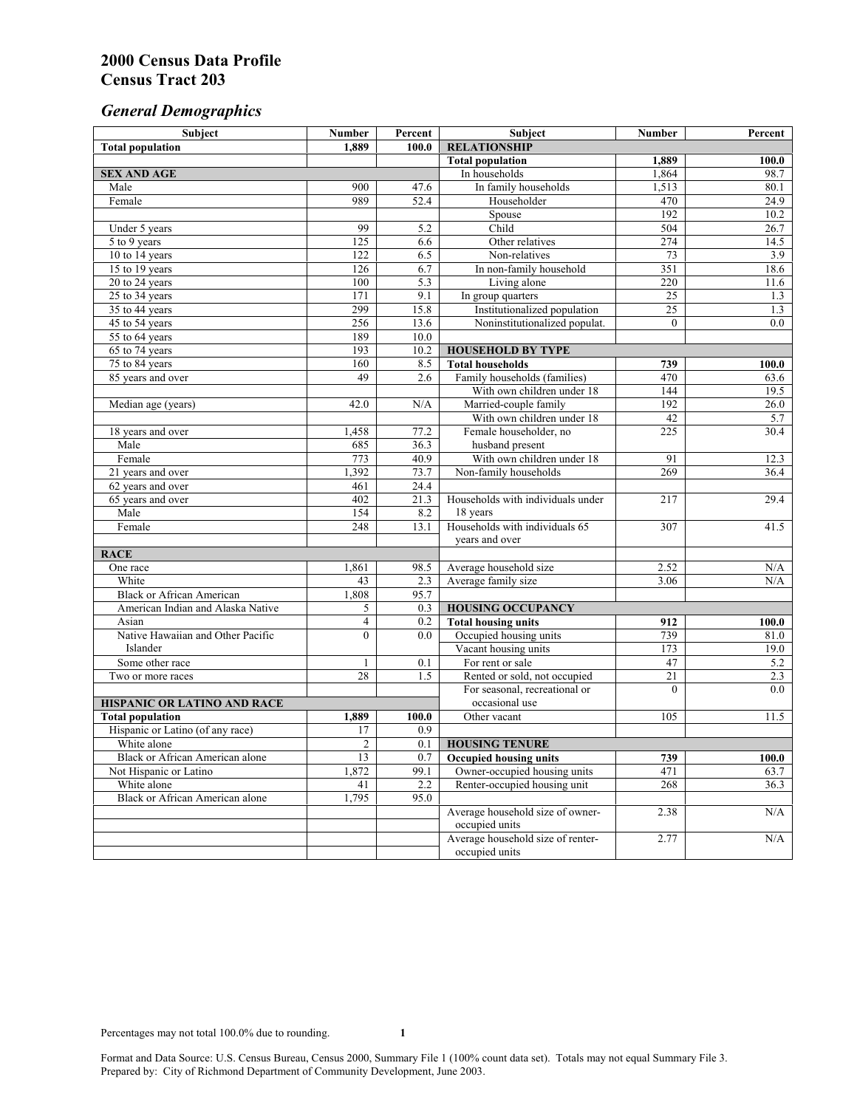# *General Demographics*

| Subject                           | <b>Number</b>    | Percent    | Subject                                                 | <b>Number</b> | Percent      |
|-----------------------------------|------------------|------------|---------------------------------------------------------|---------------|--------------|
| <b>Total population</b>           | 1,889            | 100.0      | <b>RELATIONSHIP</b>                                     |               |              |
|                                   |                  |            | <b>Total population</b>                                 | 1,889         | 100.0        |
| <b>SEX AND AGE</b>                |                  |            | In households                                           | 1,864         | 98.7         |
| Male                              | 900              | 47.6       | In family households                                    | 1,513         | 80.1         |
| Female                            | 989              | 52.4       | Householder                                             | 470           | 24.9         |
|                                   |                  |            | Spouse                                                  | 192           | 10.2         |
| Under 5 years                     | 99               | 5.2        | Child                                                   | 504           | 26.7         |
| 5 to 9 years                      | $\overline{125}$ | 6.6        | Other relatives                                         | 274           | 14.5         |
| 10 to 14 years                    | 122              | 6.5        | Non-relatives                                           | 73            | 3.9          |
| 15 to 19 years                    | 126              | 6.7        | In non-family household                                 | 351           | 18.6         |
| 20 to 24 years                    | 100              | 5.3        | Living alone                                            | 220           | 11.6         |
| $25 \text{ to } 34$ years         | 171              | 9.1        | In group quarters                                       | 25            | 1.3          |
| 35 to 44 years                    | 299              | 15.8       | Institutionalized population                            | 25            | 1.3          |
| 45 to 54 years                    | 256              | 13.6       | Noninstitutionalized populat.                           | $\mathbf{0}$  | 0.0          |
| 55 to 64 years                    | 189              | 10.0       |                                                         |               |              |
| 65 to 74 years                    | 193              | 10.2       | <b>HOUSEHOLD BY TYPE</b>                                |               |              |
| 75 to 84 years                    | 160<br>49        | 8.5<br>2.6 | <b>Total households</b><br>Family households (families) | 739<br>470    | 100.0        |
| 85 years and over                 |                  |            | With own children under 18                              | 144           | 63.6<br>19.5 |
|                                   | 42.0             | N/A        | Married-couple family                                   | 192           | 26.0         |
| Median age (years)                |                  |            | With own children under 18                              | 42            | 5.7          |
|                                   | 1,458            | 77.2       | Female householder, no                                  | 225           | 30.4         |
| 18 years and over<br>Male         | 685              | 36.3       | husband present                                         |               |              |
| Female                            | 773              | 40.9       | With own children under 18                              | 91            | 12.3         |
| 21 years and over                 | 1,392            | 73.7       | Non-family households                                   | 269           | 36.4         |
| 62 years and over                 | 461              | 24.4       |                                                         |               |              |
| 65 years and over                 | 402              | 21.3       | Households with individuals under                       | 217           | 29.4         |
| Male                              | 154              | 8.2        | 18 years                                                |               |              |
| Female                            | 248              | 13.1       | Households with individuals 65                          | 307           | 41.5         |
|                                   |                  |            | years and over                                          |               |              |
| <b>RACE</b>                       |                  |            |                                                         |               |              |
| One race                          | 1,861            | 98.5       | Average household size                                  | 2.52          | $\rm N/A$    |
| White                             | 43               | 2.3        | Average family size                                     | 3.06          | N/A          |
| <b>Black or African American</b>  | 1,808            | 95.7       |                                                         |               |              |
| American Indian and Alaska Native | 5                | 0.3        | <b>HOUSING OCCUPANCY</b>                                |               |              |
| Asian                             | $\overline{4}$   | 0.2        | <b>Total housing units</b>                              | 912           | 100.0        |
| Native Hawaiian and Other Pacific | $\theta$         | 0.0        | Occupied housing units                                  | 739           | 81.0         |
| Islander                          |                  |            | Vacant housing units                                    | 173           | 19.0         |
| Some other race                   | $\mathbf{1}$     | 0.1        | For rent or sale                                        | 47            | 5.2          |
| Two or more races                 | 28               | 1.5        | Rented or sold, not occupied                            | 21            | 2.3          |
|                                   |                  |            | For seasonal, recreational or                           | $\Omega$      | 0.0          |
| HISPANIC OR LATINO AND RACE       |                  |            | occasional use                                          |               |              |
| <b>Total population</b>           | 1,889            | 100.0      | Other vacant                                            | 105           | 11.5         |
| Hispanic or Latino (of any race)  | 17               | 0.9        |                                                         |               |              |
| White alone                       | $\overline{c}$   | 0.1        | <b>HOUSING TENURE</b>                                   |               |              |
| Black or African American alone   | 13               | 0.7        | <b>Occupied housing units</b>                           | 739           | 100.0        |
| Not Hispanic or Latino            | 1,872            | 99.1       | Owner-occupied housing units                            | 471           | 63.7         |
| White alone                       | 41               | 2.2        | Renter-occupied housing unit                            | 268           | 36.3         |
| Black or African American alone   | 1,795            | 95.0       |                                                         |               |              |
|                                   |                  |            | Average household size of owner-                        | 2.38          | N/A          |
|                                   |                  |            | occupied units                                          |               |              |
|                                   |                  |            | Average household size of renter-                       | 2.77          | N/A          |
|                                   |                  |            | occupied units                                          |               |              |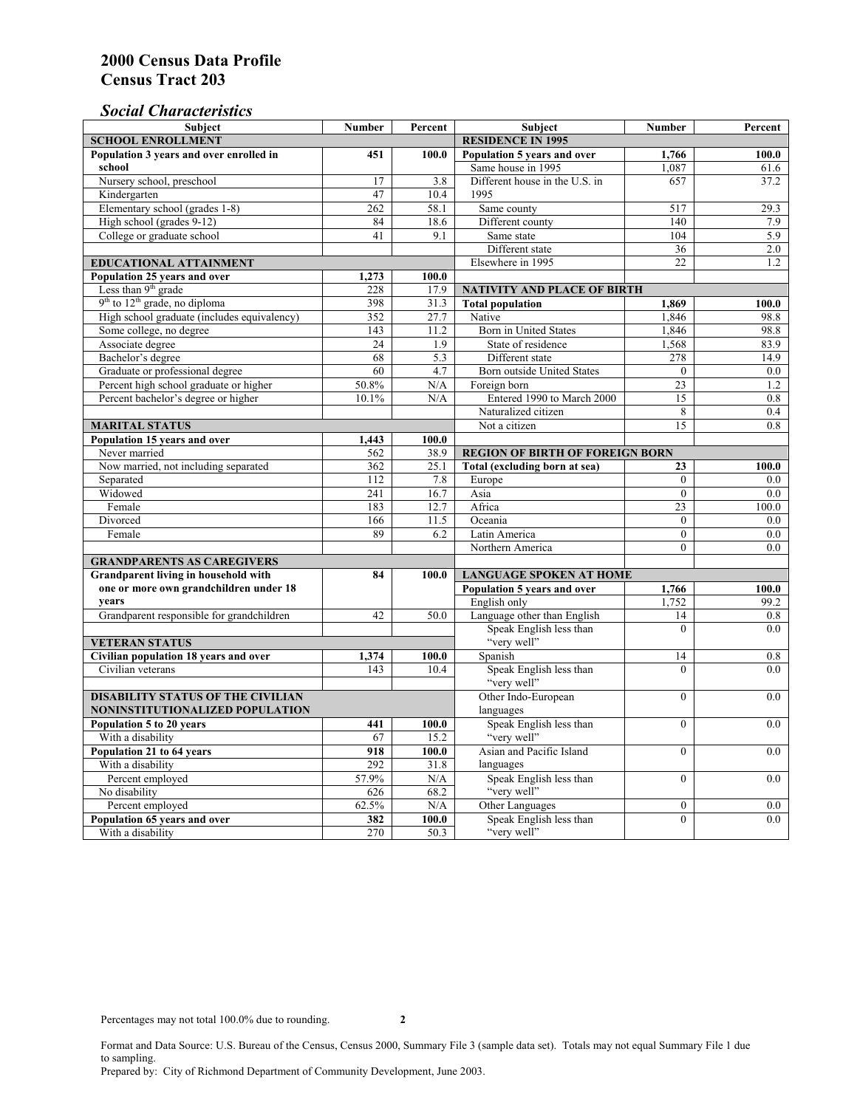### *Social Characteristics*

| <b>Subject</b>                              | <b>Number</b>            | Percent       | <b>Subject</b>                                         | <b>Number</b>    | Percent |
|---------------------------------------------|--------------------------|---------------|--------------------------------------------------------|------------------|---------|
| <b>SCHOOL ENROLLMENT</b>                    | <b>RESIDENCE IN 1995</b> |               |                                                        |                  |         |
| Population 3 years and over enrolled in     | 451                      | 100.0         | Population 5 years and over                            | 1,766            | 100.0   |
| school                                      |                          |               | Same house in 1995                                     | 1,087            | 61.6    |
| Nursery school, preschool                   | 17                       | 3.8           | Different house in the U.S. in                         | 657              | 37.2    |
| Kindergarten                                | 47                       | 10.4          | 1995                                                   |                  |         |
| Elementary school (grades 1-8)              | 262                      | 58.1          | Same county                                            | 517              | 29.3    |
| High school (grades 9-12)                   | 84                       | 18.6          | Different county                                       | 140              | 7.9     |
| College or graduate school                  | 41                       | 9.1           | Same state                                             | 104              | 5.9     |
|                                             |                          |               | Different state                                        | 36               | 2.0     |
| <b>EDUCATIONAL ATTAINMENT</b>               |                          |               | Elsewhere in 1995                                      | 22               | 1.2     |
| Population 25 years and over                | 1,273                    | 100.0         |                                                        |                  |         |
| Less than 9 <sup>th</sup> grade             | 228                      | 17.9          | NATIVITY AND PLACE OF BIRTH                            |                  |         |
| $9th$ to $12th$ grade, no diploma           | 398                      | 31.3          | <b>Total population</b>                                | 1,869            | 100.0   |
| High school graduate (includes equivalency) | 352                      | 27.7          | Native                                                 | 1.846            | 98.8    |
| Some college, no degree                     | 143                      | 11.2          | <b>Born</b> in United States                           | 1,846            | 98.8    |
| Associate degree                            | 24                       | 1.9           | State of residence                                     | 1,568            | 83.9    |
| Bachelor's degree                           | 68                       | 5.3           | Different state                                        | 278              | 14.9    |
| Graduate or professional degree             | 60                       | 4.7           | Born outside United States                             | $\mathbf{0}$     | $0.0\,$ |
| Percent high school graduate or higher      | 50.8%                    | N/A           | Foreign born                                           | 23               | 1.2     |
| Percent bachelor's degree or higher         | 10.1%                    | N/A           | Entered 1990 to March 2000                             | 15               | 0.8     |
|                                             |                          |               | Naturalized citizen                                    | 8                | 0.4     |
| <b>MARITAL STATUS</b>                       |                          |               | Not a citizen                                          | 15               | 0.8     |
| Population 15 years and over                | 1,443                    | 100.0         |                                                        |                  |         |
| Never married                               | 562                      | 38.9          | <b>REGION OF BIRTH OF FOREIGN BORN</b>                 |                  |         |
| Now married, not including separated        | 362                      | 25.1          | Total (excluding born at sea)                          | 23               | 100.0   |
| Separated                                   | 112                      | 7.8           | Europe                                                 | $\overline{0}$   | 0.0     |
| Widowed                                     | 241                      | 16.7          | Asia                                                   | $\overline{0}$   | 0.0     |
| Female                                      | 183                      | 12.7          | Africa                                                 | 23               | 100.0   |
| Divorced                                    | 166                      | 11.5          | Oceania                                                | $\Omega$         | 0.0     |
| Female                                      | 89                       | 6.2           | Latin America                                          | $\boldsymbol{0}$ | 0.0     |
|                                             |                          |               | Northern America                                       | $\theta$         | 0.0     |
| <b>GRANDPARENTS AS CAREGIVERS</b>           |                          |               |                                                        |                  |         |
| Grandparent living in household with        | 84                       | 100.0         | <b>LANGUAGE SPOKEN AT HOME</b>                         |                  |         |
| one or more own grandchildren under 18      |                          |               | Population 5 years and over                            | 1,766            | 100.0   |
| years                                       | 42                       |               | English only                                           | 1,752            | 99.2    |
| Grandparent responsible for grandchildren   |                          | 50.0          | Language other than English<br>Speak English less than | 14<br>$\theta$   | 0.8     |
|                                             |                          |               | "very well"                                            |                  | 0.0     |
| <b>VETERAN STATUS</b>                       |                          |               | Spanish                                                | 14               | 0.8     |
| Civilian population 18 years and over       | 1,374<br>143             | 100.0         |                                                        | $\theta$         |         |
| Civilian veterans                           |                          | 10.4          | Speak English less than<br>"very well"                 |                  | 0.0     |
| <b>DISABILITY STATUS OF THE CIVILIAN</b>    |                          |               | Other Indo-European                                    | $\theta$         | 0.0     |
| NONINSTITUTIONALIZED POPULATION             | languages                |               |                                                        |                  |         |
| Population 5 to 20 years                    | Speak English less than  | $\mathbf{0}$  | 0.0                                                    |                  |         |
| With a disability                           | 441<br>67                | 100.0<br>15.2 | "very well"                                            |                  |         |
| Population 21 to 64 years                   | 918                      | 100.0         | Asian and Pacific Island                               | $\theta$         | 0.0     |
| With a disability                           | 292                      | 31.8          | languages                                              |                  |         |
| Percent employed                            | 57.9%                    | N/A           | Speak English less than                                | $\mathbf{0}$     | 0.0     |
| No disability                               | 626                      | 68.2          | "very well"                                            |                  |         |
| Percent employed                            | 62.5%                    | N/A           | Other Languages                                        | $\boldsymbol{0}$ | $0.0\,$ |
| Population 65 years and over                | 382                      | 100.0         | Speak English less than                                | $\mathbf{0}$     | 0.0     |
| With a disability                           | 270                      | 50.3          | "very well"                                            |                  |         |

Format and Data Source: U.S. Bureau of the Census, Census 2000, Summary File 3 (sample data set). Totals may not equal Summary File 1 due to sampling.

Prepared by: City of Richmond Department of Community Development, June 2003.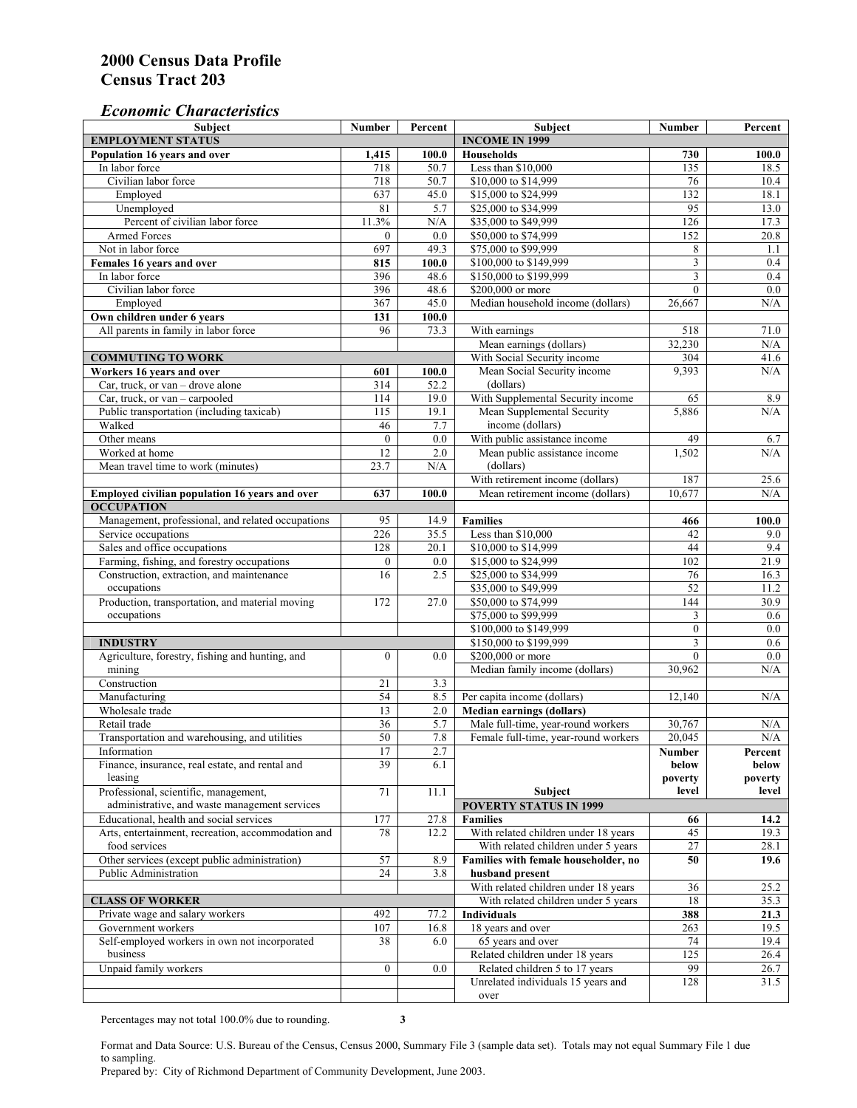#### *Economic Characteristics*

| Subject                                                        | <b>Number</b>    | Percent       | Subject                              | <b>Number</b>    | Percent          |
|----------------------------------------------------------------|------------------|---------------|--------------------------------------|------------------|------------------|
| <b>EMPLOYMENT STATUS</b>                                       |                  |               | <b>INCOME IN 1999</b>                |                  |                  |
| Population 16 years and over                                   | 1,415            | 100.0         | <b>Households</b>                    | 730              | 100.0            |
| In labor force                                                 | 718              | 50.7          | Less than \$10,000                   | 135              | 18.5             |
| Civilian labor force                                           | 718              | 50.7          | \$10,000 to \$14,999                 | 76               | 10.4             |
| Employed                                                       | 637              | 45.0          | \$15,000 to \$24,999                 | 132              | 18.1             |
| Unemployed                                                     | 81               | 5.7           | \$25,000 to \$34,999                 | 95               | 13.0             |
| Percent of civilian labor force                                | 11.3%            | N/A           | \$35,000 to \$49,999                 | 126              | 17.3             |
| <b>Armed Forces</b>                                            | $\mathbf{0}$     | 0.0           | \$50,000 to \$74,999                 | 152              | 20.8             |
| Not in labor force                                             | 697              | 49.3          | \$75,000 to \$99,999                 | 8                | 1.1              |
| Females 16 years and over                                      | 815              | 100.0         | \$100,000 to \$149,999               | $\mathfrak z$    | 0.4              |
| In labor force<br>Civilian labor force                         | 396              | 48.6          | \$150,000 to \$199,999               | 3                | 0.4              |
|                                                                | 396              | 48.6          | \$200,000 or more                    | $\mathbf{0}$     | 0.0<br>N/A       |
| Employed<br>Own children under 6 years                         | 367<br>131       | 45.0<br>100.0 | Median household income (dollars)    | 26,667           |                  |
| All parents in family in labor force                           | 96               | 73.3          | With earnings                        | 518              | 71.0             |
|                                                                |                  |               | Mean earnings (dollars)              | 32,230           | N/A              |
| <b>COMMUTING TO WORK</b>                                       |                  |               | With Social Security income          | 304              | 41.6             |
| Workers 16 years and over                                      | 601              | 100.0         | Mean Social Security income          | 9,393            | N/A              |
| Car, truck, or van – drove alone                               | 314              | 52.2          | (dollars)                            |                  |                  |
| Car, truck, or $van$ – carpooled                               | 114              | 19.0          | With Supplemental Security income    | 65               | 8.9              |
| Public transportation (including taxicab)                      | $\overline{115}$ | 19.1          | Mean Supplemental Security           | 5,886            | N/A              |
| Walked                                                         | 46               | 7.7           | income (dollars)                     |                  |                  |
| Other means                                                    | $\boldsymbol{0}$ | 0.0           | With public assistance income        | 49               | 6.7              |
| Worked at home                                                 | $\overline{12}$  | 2.0           | Mean public assistance income        | 1,502            | N/A              |
| Mean travel time to work (minutes)                             | 23.7             | N/A           | (dollars)                            |                  |                  |
|                                                                |                  |               | With retirement income (dollars)     | 187              | 25.6             |
| Employed civilian population 16 years and over                 | 637              | 100.0         | Mean retirement income (dollars)     | 10,677           | N/A              |
| <b>OCCUPATION</b>                                              |                  |               |                                      |                  |                  |
| Management, professional, and related occupations              | 95               | 14.9          | <b>Families</b>                      | 466              | 100.0            |
| Service occupations                                            | 226              | 35.5          | Less than \$10,000                   | 42               | 9.0              |
| Sales and office occupations                                   | 128              | 20.1          | \$10,000 to \$14,999                 | 44               | 9.4              |
| Farming, fishing, and forestry occupations                     | $\boldsymbol{0}$ | 0.0           | \$15,000 to \$24,999                 | 102              | 21.9             |
| Construction, extraction, and maintenance                      | 16               | 2.5           | \$25,000 to \$34,999                 | 76               | 16.3             |
| occupations                                                    |                  |               | \$35,000 to \$49,999                 | 52               | 11.2             |
| Production, transportation, and material moving                | 172              | 27.0          | \$50,000 to \$74,999                 | 144              | 30.9             |
| occupations                                                    |                  |               | \$75,000 to \$99,999                 | 3                | 0.6              |
|                                                                |                  |               | \$100,000 to \$149,999               | $\mathbf{0}$     | 0.0              |
| <b>INDUSTRY</b>                                                |                  |               | \$150,000 to \$199,999               | 3                | 0.6              |
| Agriculture, forestry, fishing and hunting, and                | $\boldsymbol{0}$ | 0.0           | \$200,000 or more                    | $\mathbf{0}$     | 0.0              |
| mining                                                         |                  |               | Median family income (dollars)       | 30,962           | N/A              |
| Construction                                                   | 21               | 3.3           |                                      |                  |                  |
| Manufacturing                                                  | 54               | 8.5           | Per capita income (dollars)          | 12,140           | N/A              |
| Wholesale trade                                                | 13               | $2.0$         | <b>Median earnings (dollars)</b>     |                  |                  |
| Retail trade                                                   | 36<br>50         | 5.7           | Male full-time, year-round workers   | 30.767           | N/A              |
| Transportation and warehousing, and utilities                  |                  | 7.8           | Female full-time, year-round workers | 20,045           | N/A              |
| Information<br>Finance, insurance, real estate, and rental and | 17<br>39         | 2.7<br>6.1    |                                      | Number           | Percent          |
| leasing                                                        |                  |               |                                      | below<br>poverty | below<br>poverty |
| Professional, scientific, management,                          | 71               | 11.1          | Subject                              | level            | level            |
| administrative, and waste management services                  |                  |               | <b>POVERTY STATUS IN 1999</b>        |                  |                  |
| Educational, health and social services                        | 177              | 27.8          | <b>Families</b>                      | 66               | 14.2             |
| Arts, entertainment, recreation, accommodation and             | 78               | 12.2          | With related children under 18 years | 45               | 19.3             |
| food services                                                  |                  |               | With related children under 5 years  | 27               | 28.1             |
| Other services (except public administration)                  | 57               | 8.9           | Families with female householder, no | 50               | 19.6             |
| Public Administration                                          | 24               | 3.8           | husband present                      |                  |                  |
|                                                                |                  |               | With related children under 18 years | 36               | 25.2             |
| <b>CLASS OF WORKER</b>                                         |                  |               | With related children under 5 years  | 18               | 35.3             |
| Private wage and salary workers                                | 492              | 77.2          | <b>Individuals</b>                   | 388              | 21.3             |
| Government workers                                             | 107              | 16.8          | 18 years and over                    | 263              | 19.5             |
| Self-employed workers in own not incorporated                  | 38               | 6.0           | 65 years and over                    | 74               | 19.4             |
| business                                                       |                  |               | Related children under 18 years      | 125              | 26.4             |
| Unpaid family workers                                          | $\overline{0}$   | 0.0           | Related children 5 to 17 years       | 99               | 26.7             |
|                                                                |                  |               | Unrelated individuals 15 years and   | 128              | 31.5             |
|                                                                |                  |               | over                                 |                  |                  |

Percentages may not total 100.0% due to rounding. **3** 

Format and Data Source: U.S. Bureau of the Census, Census 2000, Summary File 3 (sample data set). Totals may not equal Summary File 1 due to sampling.

Prepared by: City of Richmond Department of Community Development, June 2003.